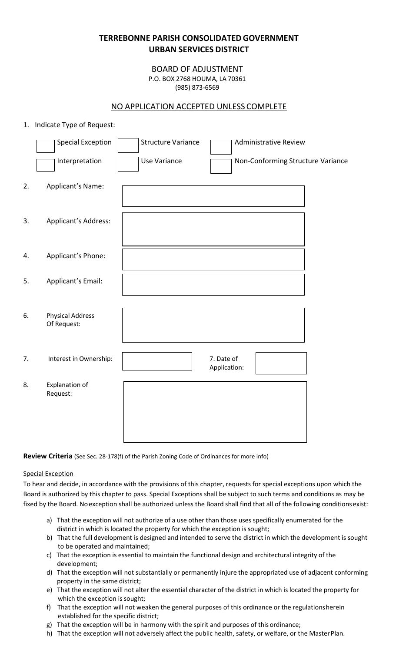# **TERREBONNE PARISH CONSOLIDATEDGOVERNMENT URBAN SERVICES DISTRICT**

BOARD OF ADJUSTMENT P.O. BOX 2768 HOUMA, LA 70361 (985) 873-6569

# NO APPLICATION ACCEPTED UNLESS COMPLETE

## 1. Indicate Type of Request:

|    | <b>Special Exception</b><br>Interpretation | <b>Structure Variance</b><br><b>Use Variance</b> | <b>Administrative Review</b><br>Non-Conforming Structure Variance |  |
|----|--------------------------------------------|--------------------------------------------------|-------------------------------------------------------------------|--|
|    |                                            |                                                  |                                                                   |  |
| 2. | Applicant's Name:                          |                                                  |                                                                   |  |
| 3. | Applicant's Address:                       |                                                  |                                                                   |  |
| 4. | Applicant's Phone:                         |                                                  |                                                                   |  |
| 5. | Applicant's Email:                         |                                                  |                                                                   |  |
| 6. | <b>Physical Address</b><br>Of Request:     |                                                  |                                                                   |  |
| 7. | Interest in Ownership:                     |                                                  | 7. Date of<br>Application:                                        |  |
| 8. | Explanation of<br>Request:                 |                                                  |                                                                   |  |
|    |                                            |                                                  |                                                                   |  |

**Review Criteria** (See Sec. 28-178(f) of the Parish Zoning Code of Ordinances for more info)

### Special Exception

To hear and decide, in accordance with the provisions of this chapter, requests for special exceptions upon which the Board is authorized by this chapter to pass. Special Exceptions shall be subject to such terms and conditions as may be fixed by the Board. Noexception shall be authorized unless the Board shall find that all of the following conditionsexist:

- a) That the exception will not authorize of a use other than those uses specifically enumerated for the district in which is located the property for which the exception is sought;
- b) That the full development is designed and intended to serve the district in which the development is sought to be operated and maintained;
- c) That the exception is essential to maintain the functional design and architectural integrity of the development;
- d) That the exception will not substantially or permanently injure the appropriated use of adjacent conforming property in the same district;
- e) That the exception will not alter the essential character of the district in which is located the property for which the exception is sought;
- f) That the exception will not weaken the general purposes of this ordinance or the regulationsherein established for the specific district;
- g) That the exception will be in harmony with the spirit and purposes of this ordinance;
- h) That the exception will not adversely affect the public health, safety, or welfare, or the MasterPlan.